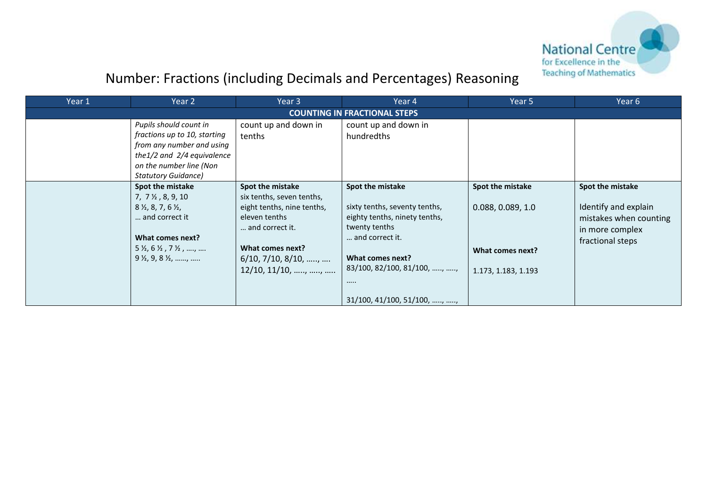

| Year 1 | Year 2                                                                                                                                                                                                                                   | Year 3                                                                                                                                                                                                        | Year 4                                                                                                                                                                                                                | Year 5                                                                           | Year 6                                                                                                    |
|--------|------------------------------------------------------------------------------------------------------------------------------------------------------------------------------------------------------------------------------------------|---------------------------------------------------------------------------------------------------------------------------------------------------------------------------------------------------------------|-----------------------------------------------------------------------------------------------------------------------------------------------------------------------------------------------------------------------|----------------------------------------------------------------------------------|-----------------------------------------------------------------------------------------------------------|
|        |                                                                                                                                                                                                                                          |                                                                                                                                                                                                               | <b>COUNTING IN FRACTIONAL STEPS</b>                                                                                                                                                                                   |                                                                                  |                                                                                                           |
|        | Pupils should count in<br>fractions up to 10, starting<br>from any number and using<br>the $1/2$ and $2/4$ equivalence<br>on the number line (Non<br><b>Statutory Guidance)</b>                                                          | count up and down in<br>tenths                                                                                                                                                                                | count up and down in<br>hundredths                                                                                                                                                                                    |                                                                                  |                                                                                                           |
|        | Spot the mistake<br>$7, 7\frac{1}{2}, 8, 9, 10$<br>$8\frac{1}{2}$ , 8, 7, 6 $\frac{1}{2}$ ,<br>and correct it<br>What comes next?<br>$5\frac{1}{2}$ , 6 $\frac{1}{2}$ , 7 $\frac{1}{2}$ , ,<br>$9\frac{1}{2}$ , $9$ , $8\frac{1}{2}$ , , | Spot the mistake<br>six tenths, seven tenths,<br>eight tenths, nine tenths,<br>eleven tenths<br>and correct it.<br>What comes next?<br>$6/10$ , $7/10$ , $8/10$ , ,<br>$12/10, 11/10, \ldots, \ldots, \ldots$ | Spot the mistake<br>sixty tenths, seventy tenths,<br>eighty tenths, ninety tenths,<br>twenty tenths<br>and correct it.<br>What comes next?<br>83/100, 82/100, 81/100, , ,<br><br>$31/100$ , $41/100$ , $51/100$ , , , | Spot the mistake<br>0.088, 0.089, 1.0<br>What comes next?<br>1.173, 1.183, 1.193 | Spot the mistake<br>Identify and explain<br>mistakes when counting<br>in more complex<br>fractional steps |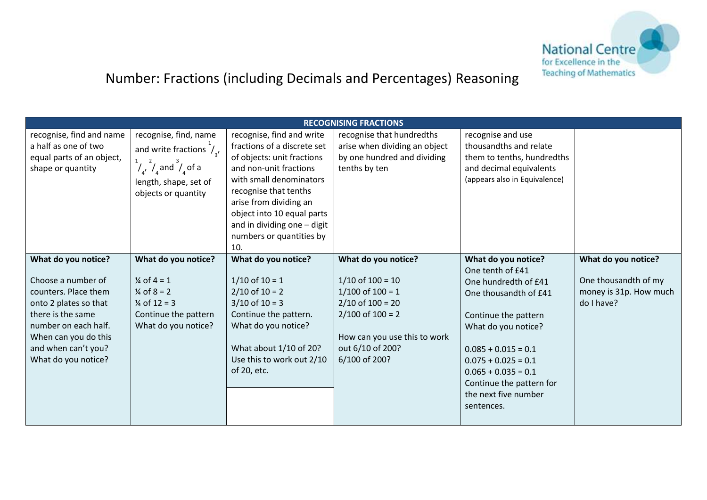

|                                                                                                                                                                                                               |                                                                                                                                                                    |                                                                                                                                                                                                                                                                                                | <b>RECOGNISING FRACTIONS</b>                                                                                                                                                             |                                                                                                                                                                                                                                                                                      |                                                                                       |
|---------------------------------------------------------------------------------------------------------------------------------------------------------------------------------------------------------------|--------------------------------------------------------------------------------------------------------------------------------------------------------------------|------------------------------------------------------------------------------------------------------------------------------------------------------------------------------------------------------------------------------------------------------------------------------------------------|------------------------------------------------------------------------------------------------------------------------------------------------------------------------------------------|--------------------------------------------------------------------------------------------------------------------------------------------------------------------------------------------------------------------------------------------------------------------------------------|---------------------------------------------------------------------------------------|
| recognise, find and name<br>a half as one of two<br>equal parts of an object,<br>shape or quantity                                                                                                            | recognise, find, name<br>and write fractions $\hat{I}_{3}$ ,<br>$\frac{1}{4}$ $\frac{2}{4}$ and $\frac{3}{4}$ of a<br>length, shape, set of<br>objects or quantity | recognise, find and write<br>fractions of a discrete set<br>of objects: unit fractions<br>and non-unit fractions<br>with small denominators<br>recognise that tenths<br>arise from dividing an<br>object into 10 equal parts<br>and in dividing one - digit<br>numbers or quantities by<br>10. | recognise that hundredths<br>arise when dividing an object<br>by one hundred and dividing<br>tenths by ten                                                                               | recognise and use<br>thousandths and relate<br>them to tenths, hundredths<br>and decimal equivalents<br>(appears also in Equivalence)                                                                                                                                                |                                                                                       |
| What do you notice?<br>Choose a number of<br>counters. Place them<br>onto 2 plates so that<br>there is the same<br>number on each half.<br>When can you do this<br>and when can't you?<br>What do you notice? | What do you notice?<br>$\frac{1}{4}$ of 4 = 1<br>$\frac{1}{4}$ of 8 = 2<br>$\frac{1}{4}$ of 12 = 3<br>Continue the pattern<br>What do you notice?                  | What do you notice?<br>$1/10$ of $10 = 1$<br>$2/10$ of $10 = 2$<br>$3/10$ of $10 = 3$<br>Continue the pattern.<br>What do you notice?<br>What about 1/10 of 20?<br>Use this to work out 2/10<br>of 20, etc.                                                                                    | What do you notice?<br>$1/10$ of $100 = 10$<br>$1/100$ of $100 = 1$<br>$2/10$ of $100 = 20$<br>$2/100$ of $100 = 2$<br>How can you use this to work<br>out 6/10 of 200?<br>6/100 of 200? | What do you notice?<br>One tenth of £41<br>One hundredth of £41<br>One thousandth of £41<br>Continue the pattern<br>What do you notice?<br>$0.085 + 0.015 = 0.1$<br>$0.075 + 0.025 = 0.1$<br>$0.065 + 0.035 = 0.1$<br>Continue the pattern for<br>the next five number<br>sentences. | What do you notice?<br>One thousandth of my<br>money is 31p. How much<br>$do$ I have? |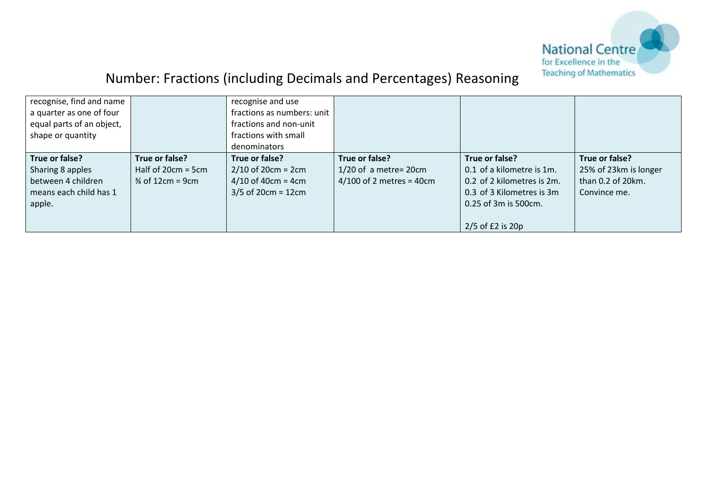

| recognise, find and name  |                             | recognise and use          |                            |                            |                       |
|---------------------------|-----------------------------|----------------------------|----------------------------|----------------------------|-----------------------|
| a quarter as one of four  |                             | fractions as numbers: unit |                            |                            |                       |
| equal parts of an object, |                             | fractions and non-unit     |                            |                            |                       |
| shape or quantity         |                             | fractions with small       |                            |                            |                       |
|                           |                             | denominators               |                            |                            |                       |
| True or false?            | True or false?              | True or false?             | True or false?             | True or false?             | True or false?        |
| Sharing 8 apples          | Half of $20cm = 5cm$        | $2/10$ of 20cm = 2cm       | $1/20$ of a metre= 20cm    | 0.1 of a kilometre is 1m.  | 25% of 23km is longer |
| between 4 children        | $\frac{3}{4}$ of 12cm = 9cm | $4/10$ of 40cm = 4cm       | $4/100$ of 2 metres = 40cm | 0.2 of 2 kilometres is 2m. | than 0.2 of 20km.     |
| means each child has 1    |                             | $3/5$ of 20cm = 12cm       |                            | 0.3 of 3 Kilometres is 3m  | Convince me.          |
| apple.                    |                             |                            |                            | 0.25 of 3m is 500cm.       |                       |
|                           |                             |                            |                            |                            |                       |
|                           |                             |                            |                            | $2/5$ of £2 is 20p         |                       |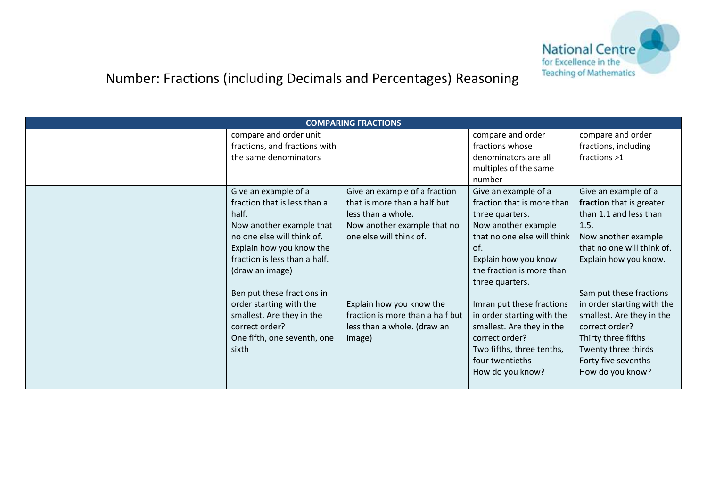

|                                                                                                                                                                                                                                                                                                                                                         | <b>COMPARING FRACTIONS</b>                                                                                                                                                                                                                             |                                                                                                                                                                                                                                                                                                                                                                                          |                                                                                                                                                                                                                                                                                                                                                                   |
|---------------------------------------------------------------------------------------------------------------------------------------------------------------------------------------------------------------------------------------------------------------------------------------------------------------------------------------------------------|--------------------------------------------------------------------------------------------------------------------------------------------------------------------------------------------------------------------------------------------------------|------------------------------------------------------------------------------------------------------------------------------------------------------------------------------------------------------------------------------------------------------------------------------------------------------------------------------------------------------------------------------------------|-------------------------------------------------------------------------------------------------------------------------------------------------------------------------------------------------------------------------------------------------------------------------------------------------------------------------------------------------------------------|
| compare and order unit<br>fractions, and fractions with                                                                                                                                                                                                                                                                                                 |                                                                                                                                                                                                                                                        | compare and order<br>fractions whose                                                                                                                                                                                                                                                                                                                                                     | compare and order<br>fractions, including                                                                                                                                                                                                                                                                                                                         |
| the same denominators                                                                                                                                                                                                                                                                                                                                   |                                                                                                                                                                                                                                                        | denominators are all                                                                                                                                                                                                                                                                                                                                                                     | fractions >1                                                                                                                                                                                                                                                                                                                                                      |
|                                                                                                                                                                                                                                                                                                                                                         |                                                                                                                                                                                                                                                        | multiples of the same<br>number                                                                                                                                                                                                                                                                                                                                                          |                                                                                                                                                                                                                                                                                                                                                                   |
| Give an example of a<br>fraction that is less than a<br>half.<br>Now another example that<br>no one else will think of.<br>Explain how you know the<br>fraction is less than a half.<br>(draw an image)<br>Ben put these fractions in<br>order starting with the<br>smallest. Are they in the<br>correct order?<br>One fifth, one seventh, one<br>sixth | Give an example of a fraction<br>that is more than a half but<br>less than a whole.<br>Now another example that no<br>one else will think of.<br>Explain how you know the<br>fraction is more than a half but<br>less than a whole. (draw an<br>image) | Give an example of a<br>fraction that is more than<br>three quarters.<br>Now another example<br>that no one else will think<br>of.<br>Explain how you know<br>the fraction is more than<br>three quarters.<br>Imran put these fractions<br>in order starting with the<br>smallest. Are they in the<br>correct order?<br>Two fifths, three tenths,<br>four twentieths<br>How do you know? | Give an example of a<br>fraction that is greater<br>than 1.1 and less than<br>1.5.<br>Now another example<br>that no one will think of.<br>Explain how you know.<br>Sam put these fractions<br>in order starting with the<br>smallest. Are they in the<br>correct order?<br>Thirty three fifths<br>Twenty three thirds<br>Forty five sevenths<br>How do you know? |
|                                                                                                                                                                                                                                                                                                                                                         |                                                                                                                                                                                                                                                        |                                                                                                                                                                                                                                                                                                                                                                                          |                                                                                                                                                                                                                                                                                                                                                                   |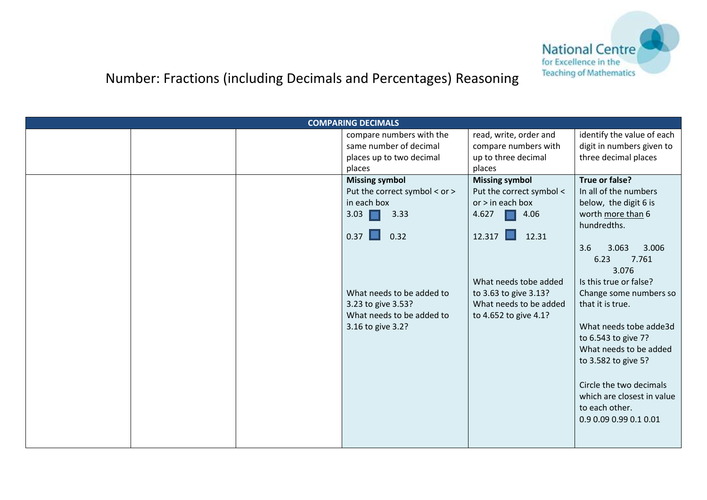

|  | <b>COMPARING DECIMALS</b>     |                          |                            |
|--|-------------------------------|--------------------------|----------------------------|
|  | compare numbers with the      | read, write, order and   | identify the value of each |
|  | same number of decimal        | compare numbers with     | digit in numbers given to  |
|  | places up to two decimal      | up to three decimal      | three decimal places       |
|  | places                        | places                   |                            |
|  | <b>Missing symbol</b>         | <b>Missing symbol</b>    | True or false?             |
|  | Put the correct symbol < or > | Put the correct symbol < | In all of the numbers      |
|  | in each box                   | $or$ > in each box       | below, the digit 6 is      |
|  | 3.03<br>3.33                  | 4.627<br>4.06            | worth more than 6          |
|  |                               |                          | hundredths.                |
|  | 0.37<br>0.32                  | $12.317$ $\Box$<br>12.31 |                            |
|  |                               |                          | 3.6<br>3.063<br>3.006      |
|  |                               |                          | 7.761<br>6.23              |
|  |                               |                          | 3.076                      |
|  |                               | What needs tobe added    | Is this true or false?     |
|  | What needs to be added to     | to 3.63 to give 3.13?    | Change some numbers so     |
|  | 3.23 to give 3.53?            | What needs to be added   | that it is true.           |
|  | What needs to be added to     | to 4.652 to give 4.1?    |                            |
|  | 3.16 to give 3.2?             |                          | What needs tobe adde3d     |
|  |                               |                          | to 6.543 to give 7?        |
|  |                               |                          | What needs to be added     |
|  |                               |                          | to 3.582 to give 5?        |
|  |                               |                          |                            |
|  |                               |                          | Circle the two decimals    |
|  |                               |                          | which are closest in value |
|  |                               |                          | to each other.             |
|  |                               |                          | 0.9 0.09 0.99 0.1 0.01     |
|  |                               |                          |                            |
|  |                               |                          |                            |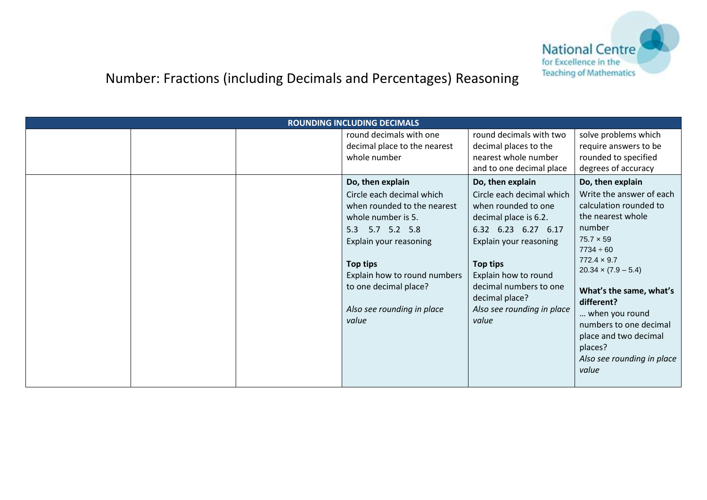

|  | <b>ROUNDING INCLUDING DECIMALS</b> |                            |                                                  |
|--|------------------------------------|----------------------------|--------------------------------------------------|
|  | round decimals with one            | round decimals with two    | solve problems which                             |
|  | decimal place to the nearest       | decimal places to the      | require answers to be                            |
|  | whole number                       | nearest whole number       | rounded to specified                             |
|  |                                    | and to one decimal place   | degrees of accuracy                              |
|  | Do, then explain                   | Do, then explain           | Do, then explain                                 |
|  | Circle each decimal which          | Circle each decimal which  | Write the answer of each                         |
|  | when rounded to the nearest        | when rounded to one        | calculation rounded to                           |
|  | whole number is 5.                 | decimal place is 6.2.      | the nearest whole                                |
|  | 5.7 5.2 5.8<br>5.3                 | 6.32 6.23 6.27 6.17        | number                                           |
|  | Explain your reasoning             | Explain your reasoning     | $75.7 \times 59$                                 |
|  |                                    |                            | $7734 \div 60$                                   |
|  | Top tips                           | Top tips                   | $772.4 \times 9.7$<br>$20.34 \times (7.9 - 5.4)$ |
|  | Explain how to round numbers       | Explain how to round       |                                                  |
|  | to one decimal place?              | decimal numbers to one     | What's the same, what's                          |
|  |                                    | decimal place?             | different?                                       |
|  | Also see rounding in place         | Also see rounding in place | when you round                                   |
|  | value                              | value                      | numbers to one decimal                           |
|  |                                    |                            | place and two decimal                            |
|  |                                    |                            | places?                                          |
|  |                                    |                            | Also see rounding in place                       |
|  |                                    |                            | value                                            |
|  |                                    |                            |                                                  |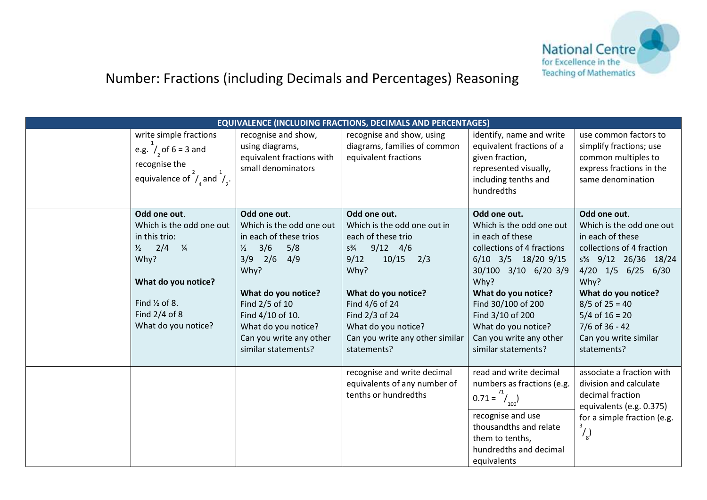

|                                                                                                                                                                                                 |                                                                                                                                                                                                                                                                       | <b>EQUIVALENCE (INCLUDING FRACTIONS, DECIMALS AND PERCENTAGES)</b>                                                                                                                                                                                                    |                                                                                                                                                                                                                                                                                             |                                                                                                                                                                                                                                                                                                      |
|-------------------------------------------------------------------------------------------------------------------------------------------------------------------------------------------------|-----------------------------------------------------------------------------------------------------------------------------------------------------------------------------------------------------------------------------------------------------------------------|-----------------------------------------------------------------------------------------------------------------------------------------------------------------------------------------------------------------------------------------------------------------------|---------------------------------------------------------------------------------------------------------------------------------------------------------------------------------------------------------------------------------------------------------------------------------------------|------------------------------------------------------------------------------------------------------------------------------------------------------------------------------------------------------------------------------------------------------------------------------------------------------|
| write simple fractions<br>e.g. $/2$ of 6 = 3 and<br>recognise the<br>equivalence of $\bigvee$ and $\bigvee$ .                                                                                   | recognise and show,<br>using diagrams,<br>equivalent fractions with<br>small denominators                                                                                                                                                                             | recognise and show, using<br>diagrams, families of common<br>equivalent fractions                                                                                                                                                                                     | identify, name and write<br>equivalent fractions of a<br>given fraction,<br>represented visually,<br>including tenths and<br>hundredths                                                                                                                                                     | use common factors to<br>simplify fractions; use<br>common multiples to<br>express fractions in the<br>same denomination                                                                                                                                                                             |
| Odd one out.<br>Which is the odd one out<br>in this trio:<br>$\frac{1}{2}$ 2/4 $\frac{1}{4}$<br>Why?<br>What do you notice?<br>Find $\frac{1}{2}$ of 8.<br>Find 2/4 of 8<br>What do you notice? | Odd one out.<br>Which is the odd one out<br>in each of these trios<br>3/6<br>5/8<br>$\frac{1}{2}$<br>$3/9$ $2/6$<br>4/9<br>Why?<br>What do you notice?<br>Find 2/5 of 10<br>Find 4/10 of 10.<br>What do you notice?<br>Can you write any other<br>similar statements? | Odd one out.<br>Which is the odd one out in<br>each of these trio<br>$9/12$ 4/6<br>$S\frac{3}{4}$<br>10/15<br>9/12<br>2/3<br>Why?<br>What do you notice?<br>Find 4/6 of 24<br>Find 2/3 of 24<br>What do you notice?<br>Can you write any other similar<br>statements? | Odd one out.<br>Which is the odd one out<br>in each of these<br>collections of 4 fractions<br>6/10 3/5 18/20 9/15<br>30/100 3/10 6/20 3/9<br>Why?<br>What do you notice?<br>Find 30/100 of 200<br>Find 3/10 of 200<br>What do you notice?<br>Can you write any other<br>similar statements? | Odd one out.<br>Which is the odd one out<br>in each of these<br>collections of 4 fraction<br>s <sup>3</sup> / <sub>4</sub> 9/12 26/36 18/24<br>4/20 1/5 6/25 6/30<br>Why?<br>What do you notice?<br>$8/5$ of 25 = 40<br>$5/4$ of $16 = 20$<br>7/6 of 36 - 42<br>Can you write similar<br>statements? |
|                                                                                                                                                                                                 |                                                                                                                                                                                                                                                                       | recognise and write decimal<br>equivalents of any number of<br>tenths or hundredths                                                                                                                                                                                   | read and write decimal<br>numbers as fractions (e.g.<br>$0.71 = \frac{1}{100}$<br>recognise and use<br>thousandths and relate<br>them to tenths,<br>hundredths and decimal<br>equivalents                                                                                                   | associate a fraction with<br>division and calculate<br>decimal fraction<br>equivalents (e.g. 0.375)<br>for a simple fraction (e.g.<br>3<br>$\binom{1}{8}$                                                                                                                                            |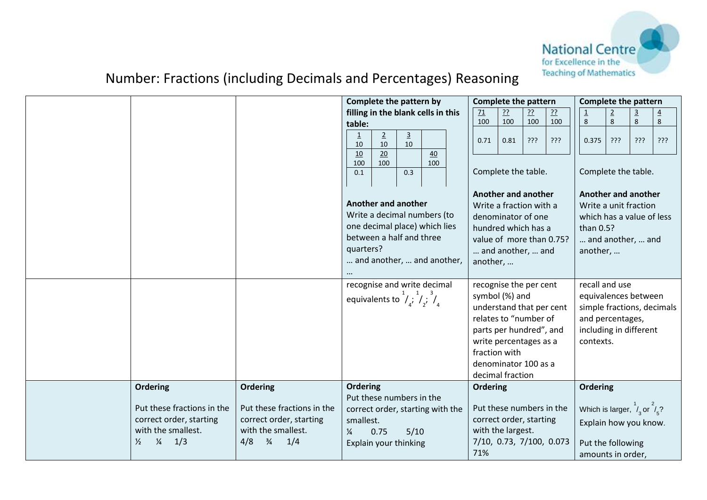

|                                                                                                                                         |                                                                                                                               |                                                              | Complete the pattern by                                   |                      |                                                                                            | <b>Complete the pattern</b>                                                                                                                                                                                     |           |           |         | <b>Complete the pattern</b>                                                                             |                                            |                |                            |
|-----------------------------------------------------------------------------------------------------------------------------------------|-------------------------------------------------------------------------------------------------------------------------------|--------------------------------------------------------------|-----------------------------------------------------------|----------------------|--------------------------------------------------------------------------------------------|-----------------------------------------------------------------------------------------------------------------------------------------------------------------------------------------------------------------|-----------|-----------|---------|---------------------------------------------------------------------------------------------------------|--------------------------------------------|----------------|----------------------------|
|                                                                                                                                         |                                                                                                                               |                                                              |                                                           |                      | filling in the blank cells in this                                                         | 71                                                                                                                                                                                                              | <u>??</u> | <u>??</u> | ??      |                                                                                                         | $\overline{2}$                             | $\overline{3}$ | $\overline{4}$             |
|                                                                                                                                         |                                                                                                                               | table:                                                       |                                                           |                      |                                                                                            | 100                                                                                                                                                                                                             | 100       | 100       | 100     | 8                                                                                                       | $\,8\,$                                    | 8              | 8                          |
|                                                                                                                                         |                                                                                                                               | $\overline{1}$<br>10                                         | $\overline{2}$<br>10                                      | $\overline{3}$<br>10 |                                                                                            | 0.71                                                                                                                                                                                                            | 0.81      | יִרְרְ    | ַרְרְךָ | 0.375                                                                                                   | יִרְיִ                                     | ?ַיְ           | ???                        |
|                                                                                                                                         |                                                                                                                               | 10<br>100                                                    | 20<br>100                                                 |                      | 40<br>100                                                                                  |                                                                                                                                                                                                                 |           |           |         |                                                                                                         |                                            |                |                            |
|                                                                                                                                         |                                                                                                                               | 0.1                                                          |                                                           | 0.3                  |                                                                                            | Complete the table.                                                                                                                                                                                             |           |           |         |                                                                                                         | Complete the table.                        |                |                            |
|                                                                                                                                         |                                                                                                                               | quarters?                                                    | Another and another<br>between a half and three           |                      | Write a decimal numbers (to<br>one decimal place) which lies<br>and another,  and another, | <b>Another and another</b><br>Write a fraction with a<br>denominator of one<br>hundred which has a<br>value of more than 0.75?<br>and another,  and<br>another,                                                 |           |           |         | Another and another<br>which has a value of less<br>than 0.5?<br>another,                               | Write a unit fraction<br>and another,  and |                |                            |
|                                                                                                                                         |                                                                                                                               | equivalents to $\frac{1}{4}$ , $\frac{1}{4}$ , $\frac{3}{4}$ |                                                           |                      | recognise and write decimal                                                                | recognise the per cent<br>symbol (%) and<br>understand that per cent<br>relates to "number of<br>parts per hundred", and<br>write percentages as a<br>fraction with<br>denominator 100 as a<br>decimal fraction |           |           |         | recall and use<br>equivalences between<br>and percentages,<br>including in different<br>contexts.       |                                            |                | simple fractions, decimals |
| <b>Ordering</b><br>Put these fractions in the<br>correct order, starting<br>with the smallest.<br>$\frac{1}{4}$<br>1/3<br>$\frac{1}{2}$ | <b>Ordering</b><br>Put these fractions in the<br>correct order, starting<br>with the smallest.<br>$\frac{3}{4}$<br>4/8<br>1/4 | <b>Ordering</b><br>smallest.<br>¼                            | Put these numbers in the<br>0.75<br>Explain your thinking | 5/10                 | correct order, starting with the                                                           | <b>Ordering</b><br>Put these numbers in the<br>correct order, starting<br>with the largest.<br>7/10, 0.73, 7/100, 0.073<br>71%                                                                                  |           |           |         | Ordering<br>Which is larger, $\frac{1}{4}$ or $\frac{2}{5}$ ?<br>Put the following<br>amounts in order, | Explain how you know.                      |                |                            |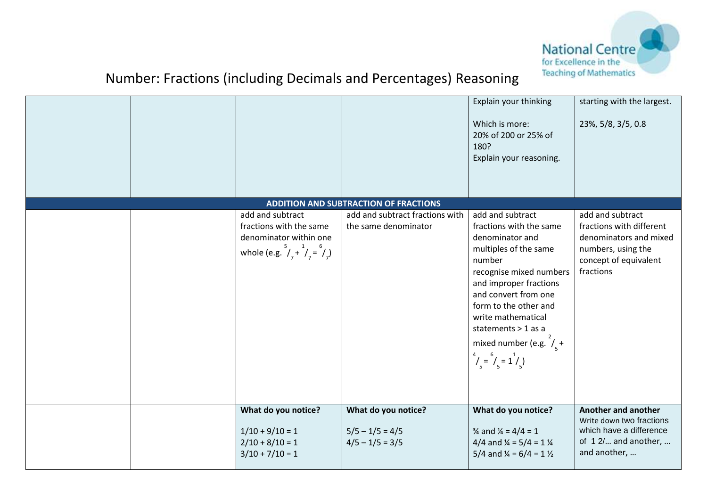

|  |                                                                                                                                |                                                               | Explain your thinking<br>Which is more:<br>20% of 200 or 25% of<br>180?<br>Explain your reasoning.                                                                                                                                                                                                                                                 | starting with the largest.<br>23%, 5/8, 3/5, 0.8                                                                                   |
|--|--------------------------------------------------------------------------------------------------------------------------------|---------------------------------------------------------------|----------------------------------------------------------------------------------------------------------------------------------------------------------------------------------------------------------------------------------------------------------------------------------------------------------------------------------------------------|------------------------------------------------------------------------------------------------------------------------------------|
|  |                                                                                                                                | <b>ADDITION AND SUBTRACTION OF FRACTIONS</b>                  |                                                                                                                                                                                                                                                                                                                                                    |                                                                                                                                    |
|  | add and subtract<br>fractions with the same<br>denominator within one<br>whole (e.g. $^{5}/_{7}$ + $^{1}/_{7}$ = $^{6}/_{7}$ ) | add and subtract fractions with<br>the same denominator       | add and subtract<br>fractions with the same<br>denominator and<br>multiples of the same<br>number<br>recognise mixed numbers<br>and improper fractions<br>and convert from one<br>form to the other and<br>write mathematical<br>statements > 1 as a<br>mixed number (e.g. $\left/_{c} + \right.$<br>$\frac{4}{1}$ = $\frac{6}{1}$ = $\frac{1}{1}$ | add and subtract<br>fractions with different<br>denominators and mixed<br>numbers, using the<br>concept of equivalent<br>fractions |
|  | What do you notice?<br>$1/10 + 9/10 = 1$<br>$2/10 + 8/10 = 1$<br>$3/10 + 7/10 = 1$                                             | What do you notice?<br>$5/5 - 1/5 = 4/5$<br>$4/5 - 1/5 = 3/5$ | What do you notice?<br>$\frac{3}{4}$ and $\frac{1}{4}$ = 4/4 = 1<br>4/4 and $\frac{1}{4}$ = 5/4 = 1 $\frac{1}{4}$<br>5/4 and $\frac{1}{4}$ = 6/4 = 1 $\frac{1}{2}$                                                                                                                                                                                 | Another and another<br>Write down two fractions<br>which have a difference<br>of 12/ and another,<br>and another,                  |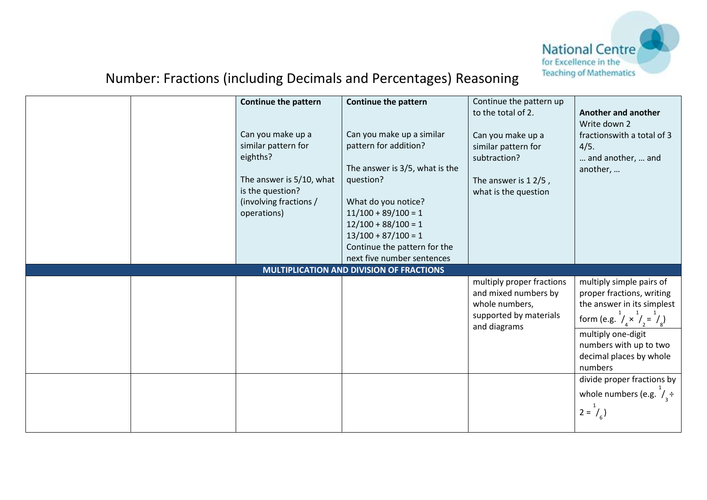

|  | Continue the pattern<br>Can you make up a<br>similar pattern for<br>eighths?<br>The answer is 5/10, what<br>is the question?<br>(involving fractions /<br>operations) | <b>Continue the pattern</b><br>Can you make up a similar<br>pattern for addition?<br>The answer is 3/5, what is the<br>question?<br>What do you notice?<br>$11/100 + 89/100 = 1$<br>$12/100 + 88/100 = 1$<br>$13/100 + 87/100 = 1$<br>Continue the pattern for the<br>next five number sentences | Continue the pattern up<br>to the total of 2.<br>Can you make up a<br>similar pattern for<br>subtraction?<br>The answer is $12/5$ ,<br>what is the question | Another and another<br>Write down 2<br>fractionswith a total of 3<br>4/5.<br>and another,  and<br>another,                                   |
|--|-----------------------------------------------------------------------------------------------------------------------------------------------------------------------|--------------------------------------------------------------------------------------------------------------------------------------------------------------------------------------------------------------------------------------------------------------------------------------------------|-------------------------------------------------------------------------------------------------------------------------------------------------------------|----------------------------------------------------------------------------------------------------------------------------------------------|
|  |                                                                                                                                                                       | MULTIPLICATION AND DIVISION OF FRACTIONS                                                                                                                                                                                                                                                         |                                                                                                                                                             |                                                                                                                                              |
|  |                                                                                                                                                                       |                                                                                                                                                                                                                                                                                                  | multiply proper fractions<br>and mixed numbers by<br>whole numbers,<br>supported by materials                                                               | multiply simple pairs of<br>proper fractions, writing<br>the answer in its simplest<br>form (e.g. $^{1}/_{A} \times ^{1}/_{2} = ^{1}/_{A}$ ) |
|  |                                                                                                                                                                       |                                                                                                                                                                                                                                                                                                  | and diagrams                                                                                                                                                | multiply one-digit<br>numbers with up to two<br>decimal places by whole<br>numbers                                                           |
|  |                                                                                                                                                                       |                                                                                                                                                                                                                                                                                                  |                                                                                                                                                             | divide proper fractions by<br>whole numbers (e.g. $\frac{1}{2}$ +<br>$2 = I_{6}$                                                             |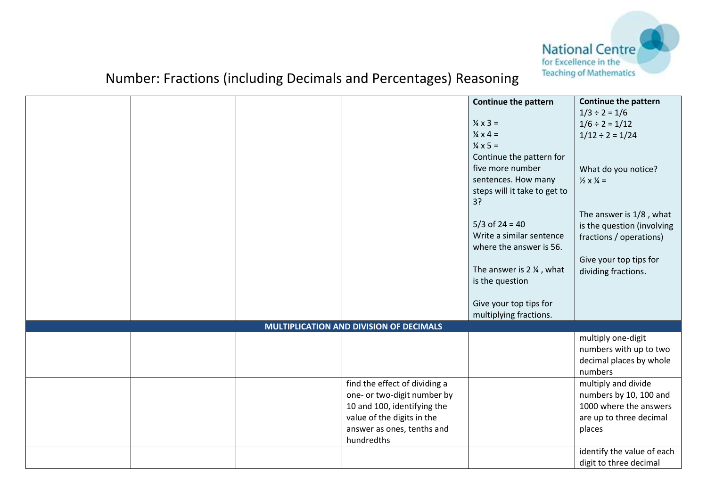

|  |                                         | <b>Continue the pattern</b>         | Continue the pattern               |
|--|-----------------------------------------|-------------------------------------|------------------------------------|
|  |                                         |                                     | $1/3 \div 2 = 1/6$                 |
|  |                                         | $\frac{1}{4} \times 3 =$            | $1/6 \div 2 = 1/12$                |
|  |                                         | $\frac{1}{4} \times 4 =$            | $1/12 \div 2 = 1/24$               |
|  |                                         | $\frac{1}{4} \times 5 =$            |                                    |
|  |                                         | Continue the pattern for            |                                    |
|  |                                         | five more number                    | What do you notice?                |
|  |                                         | sentences. How many                 | $\frac{1}{2} \times \frac{1}{4} =$ |
|  |                                         | steps will it take to get to        |                                    |
|  |                                         | 3?                                  |                                    |
|  |                                         |                                     | The answer is 1/8, what            |
|  |                                         | $5/3$ of 24 = 40                    | is the question (involving         |
|  |                                         | Write a similar sentence            | fractions / operations)            |
|  |                                         | where the answer is 56.             |                                    |
|  |                                         |                                     | Give your top tips for             |
|  |                                         | The answer is $2\frac{1}{4}$ , what | dividing fractions.                |
|  |                                         | is the question                     |                                    |
|  |                                         |                                     |                                    |
|  |                                         | Give your top tips for              |                                    |
|  |                                         | multiplying fractions.              |                                    |
|  | MULTIPLICATION AND DIVISION OF DECIMALS |                                     |                                    |
|  |                                         |                                     | multiply one-digit                 |
|  |                                         |                                     | numbers with up to two             |
|  |                                         |                                     | decimal places by whole            |
|  |                                         |                                     | numbers                            |
|  | find the effect of dividing a           |                                     | multiply and divide                |
|  | one- or two-digit number by             |                                     | numbers by 10, 100 and             |
|  | 10 and 100, identifying the             |                                     | 1000 where the answers             |
|  | value of the digits in the              |                                     | are up to three decimal            |
|  | answer as ones, tenths and              |                                     | places                             |
|  | hundredths                              |                                     |                                    |
|  |                                         |                                     | identify the value of each         |
|  |                                         |                                     | digit to three decimal             |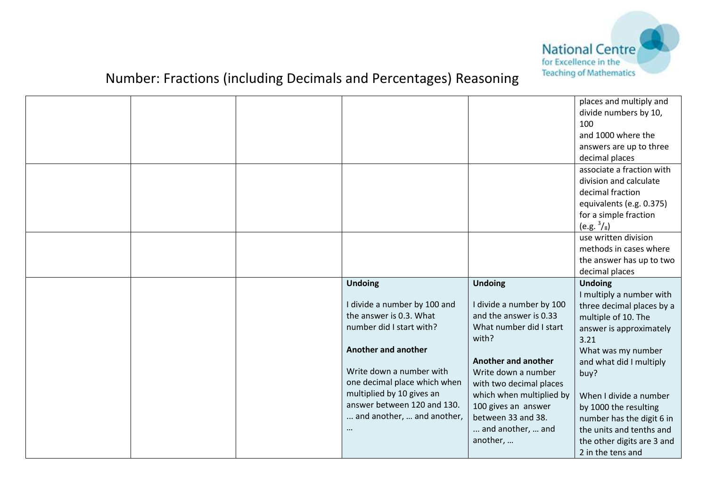

|  |                              |                            | places and multiply and<br>divide numbers by 10,<br>100<br>and 1000 where the |
|--|------------------------------|----------------------------|-------------------------------------------------------------------------------|
|  |                              |                            | answers are up to three                                                       |
|  |                              |                            | decimal places                                                                |
|  |                              |                            | associate a fraction with                                                     |
|  |                              |                            | division and calculate                                                        |
|  |                              |                            | decimal fraction                                                              |
|  |                              |                            | equivalents (e.g. 0.375)                                                      |
|  |                              |                            | for a simple fraction                                                         |
|  |                              |                            | $(e.g. \frac{3}{8})$                                                          |
|  |                              |                            | use written division                                                          |
|  |                              |                            | methods in cases where                                                        |
|  |                              |                            | the answer has up to two                                                      |
|  |                              |                            | decimal places                                                                |
|  |                              |                            |                                                                               |
|  | <b>Undoing</b>               | <b>Undoing</b>             | <b>Undoing</b>                                                                |
|  |                              |                            | I multiply a number with                                                      |
|  | I divide a number by 100 and | I divide a number by 100   | three decimal places by a                                                     |
|  | the answer is 0.3. What      | and the answer is 0.33     | multiple of 10. The                                                           |
|  | number did I start with?     | What number did I start    | answer is approximately                                                       |
|  |                              | with?                      | 3.21                                                                          |
|  | <b>Another and another</b>   | <b>Another and another</b> | What was my number                                                            |
|  | Write down a number with     | Write down a number        | and what did I multiply                                                       |
|  | one decimal place which when | with two decimal places    | buy?                                                                          |
|  | multiplied by 10 gives an    | which when multiplied by   | When I divide a number                                                        |
|  | answer between 120 and 130.  | 100 gives an answer        | by 1000 the resulting                                                         |
|  | and another,  and another,   | between 33 and 38.         | number has the digit 6 in                                                     |
|  |                              | and another,  and          | the units and tenths and                                                      |
|  |                              | another,                   | the other digits are 3 and                                                    |